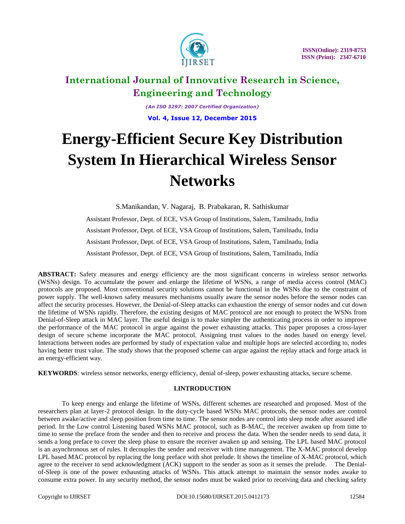

*(An ISO 3297: 2007 Certified Organization)* **Vol. 4, Issue 12, December 2015**

# **Energy-Efficient Secure Key Distribution System In Hierarchical Wireless Sensor Networks**

S.Manikandan, V. Nagaraj, B. Prabakaran, R. Sathiskumar Assistant Professor, Dept. of ECE, VSA Group of Institutions, Salem, Tamilnadu, India Assistant Professor, Dept. of ECE, VSA Group of Institutions, Salem, Tamilnadu, India Assistant Professor, Dept. of ECE, VSA Group of Institutions, Salem, Tamilnadu, India Assistant Professor, Dept. of ECE, VSA Group of Institutions, Salem, Tamilnadu, India

**ABSTRACT:** Safety measures and energy efficiency are the most significant concerns in wireless sensor networks (WSNs) design. To accumulate the power and enlarge the lifetime of WSNs, a range of media access control (MAC) protocols are proposed. Most conventional security solutions cannot be functional in the WSNs due to the constraint of power supply. The well-known safety measures mechanisms usually aware the sensor nodes before the sensor nodes can affect the security processes. However, the Denial-of-Sleep attacks can exhaustion the energy of sensor nodes and cut down the lifetime of WSNs rapidly. Therefore, the existing designs of MAC protocol are not enough to protect the WSNs from Denial-of-Sleep attack in MAC layer. The useful design is to make simpler the authenticating process in order to improve the performance of the MAC protocol in argue against the power exhausting attacks. This paper proposes a cross-layer design of secure scheme incorporate the MAC protocol. Assigning trust values to the nodes based on energy level. Interactions between nodes are performed by study of expectation value and multiple hops are selected according to, nodes having better trust value. The study shows that the proposed scheme can argue against the replay attack and forge attack in an energy-efficient way.

**KEYWORDS**: wireless sensor networks, energy efficiency, denial of-sleep, power exhausting attacks, secure scheme.

### **I.INTRODUCTION**

To keep energy and enlarge the lifetime of WSNs, different schemes are researched and proposed. Most of the researchers plan at layer-2 protocol design. In the duty-cycle based WSNs MAC protocols, the sensor nodes are control between awake/active and sleep position from time to time. The sensor nodes are control into sleep mode after assured idle period. In the Low control Listening based WSNs MAC protocol, such as B-MAC, the receiver awaken up from time to time to sense the preface from the sender and then to receive and process the data. When the sender needs to send data, it sends a long preface to cover the sleep phase to ensure the receiver awaken up and sensing. The LPL based MAC protocol is an asynchronous set of rules. It decouples the sender and receiver with time management. The X-MAC protocol develop LPL based MAC protocol by replacing the long preface with shot prelude. It shows the timeline of X-MAC protocol, which agree to the receiver to send acknowledgment (ACK) support to the sender as soon as it senses the prelude. The Denialof-Sleep is one of the power exhausting attacks of WSNs. This attack attempt to maintain the sensor nodes awake to consume extra power. In any security method, the sensor nodes must be waked prior to receiving data and checking safety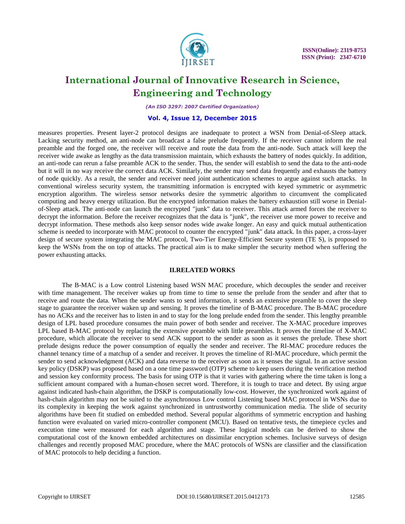

*(An ISO 3297: 2007 Certified Organization)*

#### **Vol. 4, Issue 12, December 2015**

measures properties. Present layer-2 protocol designs are inadequate to protect a WSN from Denial-of-Sleep attack. Lacking security method, an anti-node can broadcast a false prelude frequently. If the receiver cannot inform the real preamble and the forged one, the receiver will receive and route the data from the anti-node. Such attack will keep the receiver wide awake as lengthy as the data transmission maintain, which exhausts the battery of nodes quickly. In addition, an anti-node can rerun a false preamble ACK to the sender. Thus, the sender will establish to send the data to the anti-node but it will in no way receive the correct data ACK. Similarly, the sender may send data frequently and exhausts the battery of node quickly. As a result, the sender and receiver need joint authentication schemes to argue against such attacks. In conventional wireless security system, the transmitting information is encrypted with keyed symmetric or asymmetric encryption algorithm. The wireless sensor networks desire the symmetric algorithm to circumvent the complicated computing and heavy energy utilization. But the encrypted information makes the battery exhaustion still worse in Denialof-Sleep attack. The anti-node can launch the encrypted "junk" data to receiver. This attack armed forces the receiver to decrypt the information. Before the receiver recognizes that the data is "junk", the receiver use more power to receive and decrypt information. These methods also keep sensor nodes wide awake longer. An easy and quick mutual authentication scheme is needed to incorporate with MAC protocol to counter the encrypted "junk" data attack. In this paper, a cross-layer design of secure system integrating the MAC protocol, Two-Tier Energy-Efficient Secure system (TE S), is proposed to keep the WSNs from the on top of attacks. The practical aim is to make simpler the security method when suffering the power exhausting attacks.

### **II.RELATED WORKS**

The B-MAC is a Low control Listening based WSN MAC procedure, which decouples the sender and receiver with time management. The receiver wakes up from time to time to sense the prelude from the sender and after that to receive and route the data. When the sender wants to send information, it sends an extensive preamble to cover the sleep stage to guarantee the receiver waken up and sensing. It proves the timeline of B-MAC procedure. The B-MAC procedure has no ACKs and the receiver has to listen in and to stay for the long prelude ended from the sender. This lengthy preamble design of LPL based procedure consumes the main power of both sender and receiver. The X-MAC procedure improves LPL based B-MAC protocol by replacing the extensive preamble with little preambles. It proves the timeline of X-MAC procedure, which allocate the receiver to send ACK support to the sender as soon as it senses the prelude. These short prelude designs reduce the power consumption of equally the sender and receiver. The RI-MAC procedure reduces the channel tenancy time of a matchup of a sender and receiver. It proves the timeline of RI-MAC procedure, which permit the sender to send acknowledgment (ACK) and data reverse to the receiver as soon as it senses the signal. In an active session key policy (DSKP) was proposed based on a one time password (OTP) scheme to keep users during the verification method and session key conformity process. The basis for using OTP is that it varies with gathering where the time taken is long a sufficient amount compared with a human-chosen secret word. Therefore, it is tough to trace and detect. By using argue against indicated hash-chain algorithm, the DSKP is computationally low-cost. However, the synchronized work against of hash-chain algorithm may not be suited to the asynchronous Low control Listening based MAC protocol in WSNs due to its complexity in keeping the work against synchronized in untrustworthy communication media. The slide of security algorithms have been fit studied on embedded method. Several popular algorithms of symmetric encryption and hashing function were evaluated on varied micro-controller component (MCU). Based on tentative tests, the timepiece cycles and execution time were measured for each algorithm and stage. These logical models can be derived to show the computational cost of the known embedded architectures on dissimilar encryption schemes. Inclusive surveys of design challenges and recently proposed MAC procedure, where the MAC protocols of WSNs are classifier and the classification of MAC protocols to help deciding a function.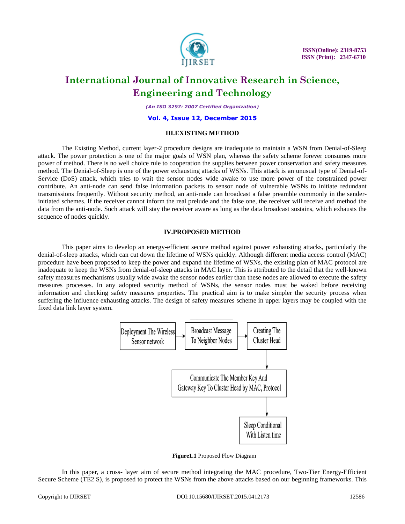

*(An ISO 3297: 2007 Certified Organization)*

#### **Vol. 4, Issue 12, December 2015**

### **III.EXISTING METHOD**

The Existing Method, current layer-2 procedure designs are inadequate to maintain a WSN from Denial-of-Sleep attack. The power protection is one of the major goals of WSN plan, whereas the safety scheme forever consumes more power of method. There is no well choice rule to cooperation the supplies between power conservation and safety measures method. The Denial-of-Sleep is one of the power exhausting attacks of WSNs. This attack is an unusual type of Denial-of-Service (DoS) attack, which tries to wait the sensor nodes wide awake to use more power of the constrained power contribute. An anti-node can send false information packets to sensor node of vulnerable WSNs to initiate redundant transmissions frequently. Without security method, an anti-node can broadcast a false preamble commonly in the senderinitiated schemes. If the receiver cannot inform the real prelude and the false one, the receiver will receive and method the data from the anti-node. Such attack will stay the receiver aware as long as the data broadcast sustains, which exhausts the sequence of nodes quickly.

### **IV.PROPOSED METHOD**

This paper aims to develop an energy-efficient secure method against power exhausting attacks, particularly the denial-of-sleep attacks, which can cut down the lifetime of WSNs quickly. Although different media access control (MAC) procedure have been proposed to keep the power and expand the lifetime of WSNs, the existing plan of MAC protocol are inadequate to keep the WSNs from denial-of-sleep attacks in MAC layer. This is attributed to the detail that the well-known safety measures mechanisms usually wide awake the sensor nodes earlier than these nodes are allowed to execute the safety measures processes. In any adopted security method of WSNs, the sensor nodes must be waked before receiving information and checking safety measures properties. The practical aim is to make simpler the security process when suffering the influence exhausting attacks. The design of safety measures scheme in upper layers may be coupled with the fixed data link layer system.



**Figure1.1** Proposed Flow Diagram

In this paper, a cross- layer aim of secure method integrating the MAC procedure, Two-Tier Energy-Efficient Secure Scheme (TE2 S), is proposed to protect the WSNs from the above attacks based on our beginning frameworks. This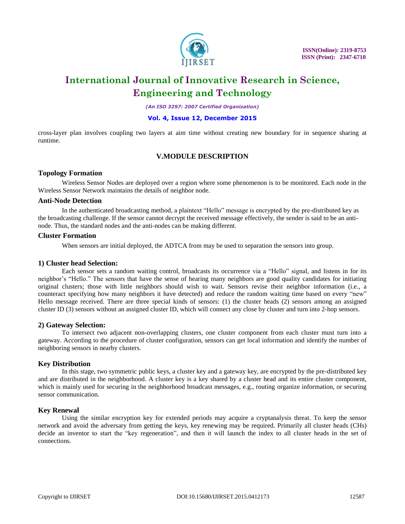

*(An ISO 3297: 2007 Certified Organization)*

### **Vol. 4, Issue 12, December 2015**

cross-layer plan involves coupling two layers at aim time without creating new boundary for in sequence sharing at runtime.

### **V.MODULE DESCRIPTION**

### **Topology Formation**

Wireless Sensor Nodes are deployed over a region where some phenomenon is to be monitored. Each node in the Wireless Sensor Network maintains the details of neighbor node.

### **Anti-Node Detection**

In the authenticated broadcasting method, a plaintext "Hello" message is encrypted by the pre-distributed key as the broadcasting challenge. If the sensor cannot decrypt the received message effectively, the sender is said to be an antinode. Thus, the standard nodes and the anti-nodes can be making different.

### **Cluster Formation**

When sensors are initial deployed, the ADTCA from may be used to separation the sensors into group.

### **1) Cluster head Selection:**

Each sensor sets a random waiting control, broadcasts its occurrence via a "Hello" signal, and listens in for its neighbor's "Hello." The sensors that have the sense of hearing many neighbors are good quality candidates for initiating original clusters; those with little neighbors should wish to wait. Sensors revise their neighbor information (i.e., a counteract specifying how many neighbors it have detected) and reduce the random waiting time based on every "new" Hello message received. There are three special kinds of sensors: (1) the cluster heads (2) sensors among an assigned cluster ID (3) sensors without an assigned cluster ID, which will connect any close by cluster and turn into 2-hop sensors.

### **2) Gateway Selection:**

To intersect two adjacent non-overlapping clusters, one cluster component from each cluster must turn into a gateway. According to the procedure of cluster configuration, sensors can get local information and identify the number of neighboring sensors in nearby clusters.

### **Key Distribution**

In this stage, two symmetric public keys, a cluster key and a gateway key, are encrypted by the pre-distributed key and are distributed in the neighborhood. A cluster key is a key shared by a cluster head and its entire cluster component, which is mainly used for securing in the neighborhood broadcast messages, e.g., routing organize information, or securing sensor communication.

### **Key Renewal**

Using the similar encryption key for extended periods may acquire a cryptanalysis threat. To keep the sensor network and avoid the adversary from getting the keys, key renewing may be required. Primarily all cluster heads (CHs) decide an inventor to start the "key regeneration", and then it will launch the index to all cluster heads in the set of connections.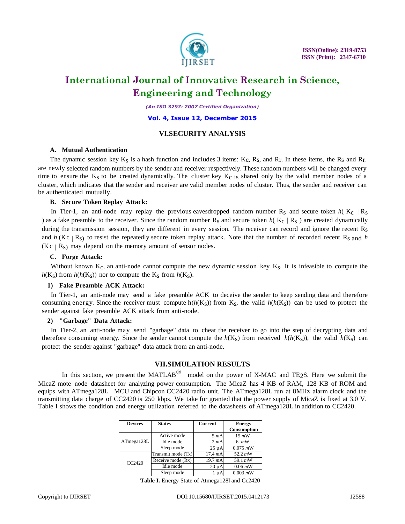

*(An ISO 3297: 2007 Certified Organization)*

#### **Vol. 4, Issue 12, December 2015**

### **VI.SECURITY ANALYSIS**

### **A. Mutual Authentication**

The dynamic session key  $K_S$  is a hash function and includes 3 items:  $K_C$ ,  $R_S$ , and  $R_T$ . In these items, the  $R_S$  and  $R_T$ . are newly selected random numbers by the sender and receiver respectively. These random numbers will be changed every time to ensure the  $K_S$  to be created dynamically. The cluster key  $K_C$  is shared only by the valid member nodes of a cluster, which indicates that the sender and receiver are valid member nodes of cluster. Thus, the sender and receiver can be authenticated mutually.

#### **B. Secure Token Replay Attack:**

In Tier-1, an anti-node may replay the previous eavesdropped random number  $R_s$  and secure token  $h(K_c | R_s)$ ) as a fake preamble to the receiver. Since the random number  $R_s$  and secure token  $h(K_c | R_s)$  are created dynamically during the transmission session, they are different in every session. The receiver can record and ignore the recent  $R<sub>S</sub>$ and *h* (Kc  $\mid$  R<sub>S</sub>) to resist the repeatedly secure token replay attack. Note that the number of recorded recent R<sub>S</sub> and *h*  $(Kc | R<sub>S</sub>)$  may depend on the memory amount of sensor nodes.

#### **C. Forge Attack:**

Without known  $K_c$ , an anti-node cannot compute the new dynamic session key  $K_s$ . It is infeasible to compute the  $h(K<sub>S</sub>)$  from  $h(h(K<sub>S</sub>))$  nor to compute the K<sub>S</sub> from  $h(K<sub>S</sub>)$ .

### **1) Fake Preamble ACK Attack:**

In Tier-1, an anti-node may send a fake preamble ACK to deceive the sender to keep sending data and therefore consuming energy. Since the receiver must compute  $h(h(K<sub>S</sub>))$  from  $K<sub>S</sub>$ , the valid  $h(h(K<sub>S</sub>))$  can be used to protect the sender against fake preamble ACK attack from anti-node.

### **2) "Garbage" Data Attack:**

In Tier-2, an anti-node may send "garbage" data to cheat the receiver to go into the step of decrypting data and therefore consuming energy. Since the sender cannot compute the  $h(K_S)$  from received  $h(h(K_S))$ , the valid  $h(K_S)$  can protect the sender against "garbage" data attack from an anti-node.

## **VII.SIMULATION RESULTS**

In this section, we present the MATLAB<sup>®</sup> model on the power of X-MAC and TE<sub>2</sub>S. Here we submit the MicaZ mote node datasheet for analyzing power consumption. The MicaZ has 4 KB of RAM, 128 KB of ROM and equips with ATmega128L MCU and Chipcon CC2420 radio unit. The ATmega128L run at 8MHz alarm clock and the transmitting data charge of CC2420 is 250 kbps. We take for granted that the power supply of MicaZ is fixed at 3.0 V. Table I shows the condition and energy utilization referred to the datasheets of ATmega128L in addition to CC2420.

| <b>Devices</b>     | <b>States</b>      | <b>Current</b>      | <b>Energy</b> |
|--------------------|--------------------|---------------------|---------------|
|                    |                    |                     | Consumption   |
| ATmega128L         | Active mode        | $5 \mu A$           | 15 mW         |
|                    | Idle mode          | 2 mA                | $6 \, mW$     |
|                    | Sleep mode         | $25 \mu A$          | $0.075$ mW    |
| CC <sub>2420</sub> | Transmit mode (Tx) | 17.4 <sub>m</sub> A | $52.2$ $mW$   |
|                    | Receive mode (Rx)  | 19.7 <sub>m</sub> A | 59.1 $mW$     |
|                    | Idle mode          | $20 \mu A$          | $0.06$ $mW$   |
|                    | Sleep mode         | uA                  | $0.003$ $mW$  |

**Table I.** Energy State of Atmega128l and Cc2420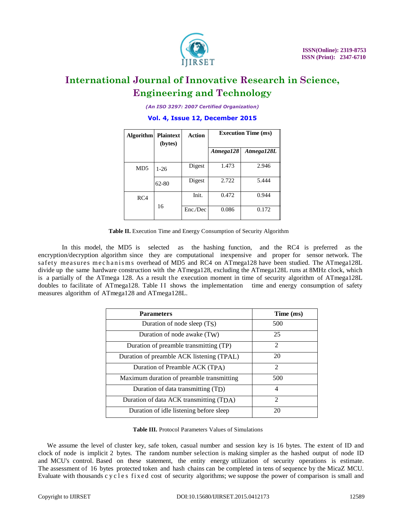

*(An ISO 3297: 2007 Certified Organization)*

### **Vol. 4, Issue 12, December 2015**

| <b>Algorithm</b> | <b>Plaintext</b><br>(bytes) | <b>Action</b> | <b>Execution Time (ms)</b> |            |
|------------------|-----------------------------|---------------|----------------------------|------------|
|                  |                             |               | Atmega128                  | Atmega128L |
| M <sub>D</sub> 5 | $1 - 26$                    | Digest        | 1.473                      | 2.946      |
|                  | 62-80                       | Digest        | 2.722                      | 5.444      |
| RC4              |                             | Init.         | 0.472                      | 0.944      |
|                  | 16                          | Enc./Dec      | 0.086                      | 0.172      |

thm 2 **Table II.** Execution Time and Energy Consumption of Security Algorithm

In this model, the MD5 is selected as the hashing function, and the RC4 is preferred as the encryption/decryption algorithm since they are computational inexpensive and proper for sensor network. The safety measures mechanisms overhead of MD5 and RC4 on ATmega128 have been studied. The ATmega128L divide up the same hardware construction with the ATmega128, excluding the ATmega128L runs at 8MHz clock, which is a partially of the ATmega 128. As a result the execution moment in time of security algorithm of ATmega128L doubles to facilitate of ATmega128. Table II shows the implementation time and energy consumption of safety measures algorithm of ATmega128 and ATmega128L.

| <b>Parameters</b>                         | Time $(ms)$                 |
|-------------------------------------------|-----------------------------|
| Duration of node sleep $(TS)$             | 500                         |
| Duration of node awake (TW)               | 25                          |
| Duration of preamble transmitting (TP)    | $\mathfrak{D}$              |
| Duration of preamble ACK listening (TPAL) | 20                          |
| Duration of Preamble ACK (TPA)            | $\mathcal{D}_{\mathcal{L}}$ |
| Maximum duration of preamble transmitting | 500                         |
| Duration of data transmitting (TD)        | $\overline{4}$              |
| Duration of data ACK transmitting (TDA)   | $\mathcal{D}$               |
| Duration of idle listening before sleep   | 20                          |

**Table III.** Protocol Parameters Values of Simulations

We assume the level of cluster key, safe token, casual number and session key is 16 bytes. The extent of ID and clock of node is implicit 2 bytes. The random number selection is making simpler as the hashed output of node ID and MCU's control. Based on these statement, the entity energy utilization of security operations is estimate. The assessment of 16 bytes protected token and hash chains can be completed in tens of sequence by the MicaZ MCU. Evaluate with thousands c y c l e s fixed cost of security algorithms; we suppose the power of comparison is small and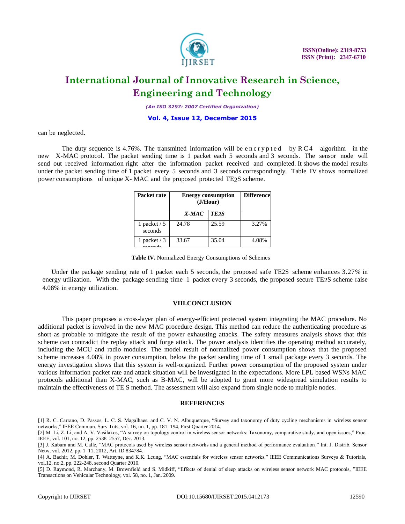

*(An ISO 3297: 2007 Certified Organization)*

### **Vol. 4, Issue 12, December 2015**

can be neglected.

The duty sequence is 4.76%. The transmitted information will be encrypted by  $RC4$  algorithm in the new X-MAC protocol. The packet sending time is 1 packet each 5 seconds and 3 seconds. The sensor node will send out received information right after the information packet received and completed. It shows the model results under the packet sending time of 1 packet every 5 seconds and 3 seconds correspondingly. Table IV shows normalized power consumptions of unique X- MAC and the proposed protected TE2S scheme.

| Packet rate               | <b>Energy consumption</b><br>(J/Hour) |                   | <b>Difference</b> |
|---------------------------|---------------------------------------|-------------------|-------------------|
|                           | $X-MAC$                               | TE <sub>2</sub> S |                   |
| 1 packet $/ 5$<br>seconds | 24.78                                 | 25.59             | 3.27%             |
| 1 packet $/3$             | 33.67                                 | 35.04             | 4.08%             |

**Table IV.** Normalized Energy Consumptions of Schemes

Under the package sending rate of 1 packet each 5 seconds, the proposed safe TE2S scheme enhances 3.27% in energy utilization. With the package sending time 1 packet every 3 seconds, the proposed secure TE2S scheme raise 4.08% in energy utilization.

#### **VIII.CONCLUSION**

This paper proposes a cross-layer plan of energy-efficient protected system integrating the MAC procedure. No additional packet is involved in the new MAC procedure design. This method can reduce the authenticating procedure as short as probable to mitigate the result of the power exhausting attacks. The safety measures analysis shows that this scheme can contradict the replay attack and forge attack. The power analysis identifies the operating method accurately, including the MCU and radio modules. The model result of normalized power consumption shows that the proposed scheme increases 4.08% in power consumption, below the packet sending time of 1 small package every 3 seconds. The energy investigation shows that this system is well-organized. Further power consumption of the proposed system under various information packet rate and attack situation will be investigated in the expectations. More LPL based WSNs MAC protocols additional than X-MAC, such as B-MAC, will be adopted to grant more widespread simulation results to maintain the effectiveness of TE S method. The assessment will also expand from single node to multiple nodes.

#### **REFERENCES**

<sup>[1]</sup> R. C. Carrano, D. Passos, L. C. S. Magalhaes, and C. V. N. Albuquerque, "Survey and taxonomy of duty cycling mechanisms in wireless sensor networks," IEEE Commun. Surv Tuts, vol. 16, no. 1, pp. 181–194, First Quarter 2014.

<sup>[2]</sup> M. Li, Z. Li, and A. V. Vasilakos, "A survey on topology control in wireless sensor networks: Taxonomy, comparative study, and open issues," Proc. IEEE, vol. 101, no. 12, pp. 2538–2557, Dec. 2013.

<sup>[3]</sup> J. Kabara and M. Calle, "MAC protocols used by wireless sensor networks and a general method of performance evaluation," Int. J. Distrib. Sensor Netw, vol. 2012, pp. 1–11, 2012, Art. ID 834784.

<sup>[4]</sup> A. Bachir, M. Dohler, T. Watteyne, and K.K. Leung, "MAC essentials for wireless sensor networks," IEEE Communications Surveys & Tutorials, vol.12, no.2, pp. 222-248, second Quarter 2010.

<sup>[5]</sup> D. Raymond, R. Marchany, M. Brownfield and S. Midkiff, "Effects of denial of sleep attacks on wireless sensor network MAC protocols, "IEEE Transactions on Vehicular Technology, vol. 58, no. 1, Jan. 2009.